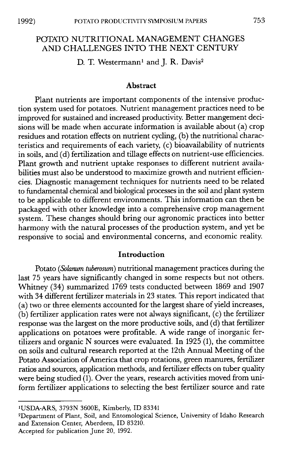# POTATO NUTRITIONAL MANAGEMENT CHANGES AND CHALLENGES INTO THE NEXT CENTURY

D. T. Westermann<sup>1</sup> and J. R. Davis<sup>2</sup>

#### **Abstract**

Plant nutrients are important components of the intensive production system used for potatoes. Nutrient management practices need to be improved for sustained and increased productivity. Better mangement decisions will be made when accurate information is available about (a) crop residues and rotation effects on nutrient cycling, (b) the nutritional characteristics and requirements of each variety, (c) bioavailability of nutrients in soils, and (d) fertilization and tillage effects on nutrient-use efficiencies. Plant growth and nutrient uptake responses to different nutrient availabilities must also be understood to maximize growth and nutrient efficiencies. Diagnostic management techniques for nutrients need to be related to fundamental chemical and biological processes in the soil and plant system to be applicable to different environments. This information can then be packaged with other knowledge into a comprehensive crop management system. These changes should bring our agronomic practices into better harmony with the natural processes of the production system, and yet be responsive to social and environmental concerns, and economic reality.

### **Introduction**

Potato *(Solanum tuberosum)* nutritional management practices during the last 75 years have significantly changed in some respects but not others. Whitney (34) summarized 1769 tests conducted between 1869 and 1907 with 34 different fertilizer materials in 23 states. This report indicated that (a) two or three elements accounted for the largest share of yield increases,  $(b)$  fertilizer application rates were not always significant,  $(c)$  the fertilizer response was the largest on the more productive soils, and (d) that fertilizer applications on potatoes were profitable. A wide range of inorganic fertilizers and organic N sources were evaluated. In 1925 (1), the committee on soils and cultural research reported at the 12th Annual Meeting of the Potato Association of America that crop rotations, green manures, fertilizer ratios and sources, application methods, and fertilizer effects on tuber quality were being studied  $(1)$ . Over the years, research activities moved from uniform fertilizer applications to selecting the best fertilizer source and rate

'USDA-ARS, 3793N 3600E, Kimberly, ID 83341

2Department of Plant, Soil, and Entomological Science, University of Idaho Research and Extension Center, Aberdeen, ID 83210.

Accepted for publication June 20, 1992.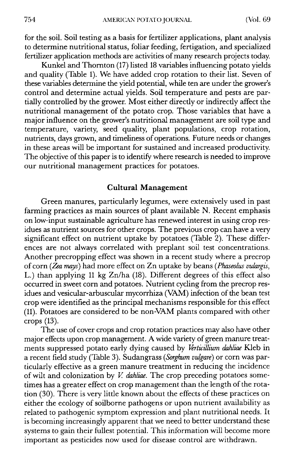for the soil. Soil testing as a basis for fertilizer applications, plant analysis to determine nutritional status, foliar feeding, fertigation, and specialized fertilizer application methods are activities of many research projects today.

Kunkel and Thornton (17) listed 18 variables influencing potato yields and quality (Table 1). We have added crop rotation to their list. Seven of these variables determine the yield potential, while ten are under the grower's control and determine actual yields. Soil temperature and pests are partially controlled by the grower. Most either directly or indirectly affect the nutritional management of the potato crop. Those variables that have a major influence on the grower's nutritional management are soil type and temperature, variety, seed quality, plant populations, crop rotation, nutrients, days grown, and timeliness of operations. Future needs or changes in these areas will be important for sustained and increased productivity. The objective of this paper is to identify where research is needed to improve our nutritional management practices for potatoes

## **Cultural Management**

Green manures, particularly legumes, were extensively used in past farming practices as main sources of plant available N. Recent emphasis on low-input sustainable agriculture has renewed interest in using crop residues as nutrient sources for other crops. The previous crop can have a very significant effect on nutrient uptake by potatoes (Table 2). These differences are not always correlated with preplant soil test concentrations. Another precropping effect was shown in a recent study where a precrop of corn (Zea *mays)* had more effect on Zn uptake by beans *(Ph.aseolus vulargis,* L.) than applying 11 kg Zn/ha (18). Different degrees of this effect also occurred in sweet corn and potatoes. Nutrient cycling from the precrop residues and vesicular-arbuscular mycorrhiza (VAM) infection of the bean test crop were identified as the principal mechanisms responsible for this effect (11). Potatoes are considered to be non VAM plants compared with other crops  $(13)$ .

The use of cover crops and crop rotation practices may also have other major effects upon crop management. A wide variety of green manure treatments suppressed potato early dying caused by *Verticillium dahliae* Kleb in a recent field study (Table 3). Sudangrass *(Sorghum vulgare)* or corn was particularly effective as a green manure treatment in reducing the incidence of wilt and colonization by *V dahliae.* The crop preceding potatoes sometimes has a greater effect on crop management than the length of the rotation (30). There is very little known about the effects of these practices on either the ecology of soilborne pathogens or upon nutrient availability as related to pathogenic symptom expression and plant nutritional needs. It is becoming increasingly apparent that we need to better understand these systems to gain their fullest potential. This information will become more important as pesticides now used for disease control are withdrawn.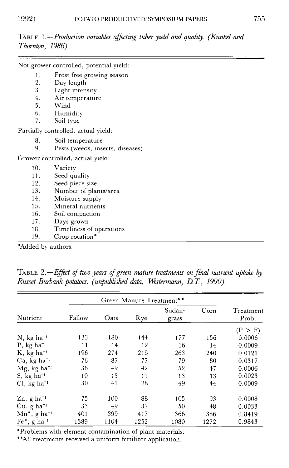TABLE 1. - *Production variables affecting tuber yield and quality. (Kunkel and Thornton, 1986).*

|     | Not grower controlled, potential yield: |
|-----|-----------------------------------------|
| 1.  | Frost free growing season               |
| 2.  | Day length                              |
| 3.  | Light intensity                         |
| 4.  | Air temperature                         |
| 5.  | Wind                                    |
|     | Humidity                                |
| 7.  | Soil type                               |
|     | Partially controlled, actual yield:     |
| 8.  | Soil temperature                        |
| 9.  | Pests (weeds, insects, diseases)        |
|     | Grower controlled, actual yield:        |
| 10. | Variety                                 |
| 11. | Seed quality                            |
| 12. | Seed piece size                         |
| 13. | Number of plants/area                   |
| 14. | Moisture supply                         |
| 15. | Mineral nutrients                       |
| 16. | Soil compaction                         |
| 17. | Days grown                              |
| 18. | Timeliness of operations                |
| 19. | Crop rotation*                          |

\*Added by authors.

TABLE *2. -Effect of two years of green mature treatments on final nutrient uptake by Russet Burbank potatoes. (unpublished data, Westermann, D.* T, *1990).*

|                             | Green Manure Treatment** |      |      |                 |      |                    |
|-----------------------------|--------------------------|------|------|-----------------|------|--------------------|
| Nutrient                    | Fallow                   | Oats | Rye  | Sudan-<br>grass | Corn | Treatment<br>Prob. |
|                             |                          |      |      |                 |      | (P > F)            |
| $N$ , kg ha <sup>-1</sup>   | 133                      | 180  | 144  | 177             | 156  | 0.0006             |
| $P$ , kg ha <sup>-1</sup>   | 11                       | 14   | 12   | 16              | 14   | 0.0009             |
| $K$ , kg ha <sup>-1</sup>   | 196                      | 274  | 215  | 263             | 240  | 0.0121             |
| $Ca, kg ha^{-1}$            | 76                       | 87   | 77   | 79              | 80   | 0.0317             |
| $Mg$ , kg ha <sup>-1</sup>  | 36                       | 49   | 42   | 52              | 47   | 0.0006             |
| $S, kg ha^{-1}$             | 10                       | 13   | 11   | 13              | 13   | 0.0023             |
| $Cl, kg ha^{-1}$            | 30                       | 41   | 28   | 49              | 44   | 0.0009             |
| $Zn$ , g ha <sup>-1</sup>   | 75                       | 100  | 88   | 105             | 93   | 0.0008             |
| $Cu$ , g ha <sup>-1</sup>   | 33                       | 49   | 37   | 50              | 48   | 0.0033             |
| $Mn^*$ , g ha <sup>-1</sup> | 401                      | 399  | 417  | 366             | 386  | 0.8419             |
| $Fe^*$ , g ha <sup>-1</sup> | 1389                     | 1104 | 1252 | 1080            | 1272 | 0.9843             |

\*Problems with element contamination of plant materials.

\*\*All treatments received a uniform fertilizer application.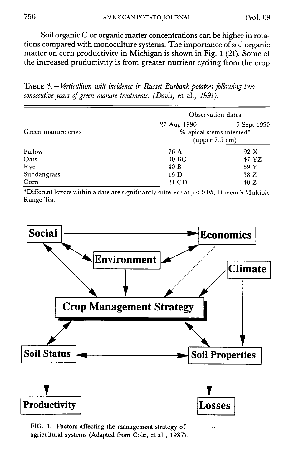Soil organic C or organic matter concentrations can be higher in rotations compared with monoculture systems. The importance of soil organic matter on corn productivity in Michigan is shown in Fig. 1 (21). Some of the increased productivity is from greater nutrient cycling from the crop

TABLE 3.— *Prticillium wilt incidence in Russet Burbank potatoes following two consecutive years of green manure treatments. (Davis,* et al., *1991).*

|                   | Observation dates |                                                           |  |  |
|-------------------|-------------------|-----------------------------------------------------------|--|--|
| Green manure crop | 27 Aug 1990       | 5 Sept 1990<br>% apical stems infected*<br>(upper 7.5 cm) |  |  |
| Fallow            | 76 A              | 92 X                                                      |  |  |
| Oats              | 30 BC             | 47 YZ                                                     |  |  |
| Rye               | 40B               | 59 Y                                                      |  |  |
| Sundangrass       | 16 D              | 38 Z                                                      |  |  |
| Corn              | 21 CD             | 40 Z                                                      |  |  |

\*Different letters within a date are significantly different at  $p < 0.05$ , Duncan's Multiple Range Test.



FIG. 3. Factors affecting the management strategy of agricultural systems (Adapted from Cole, et al., 1987).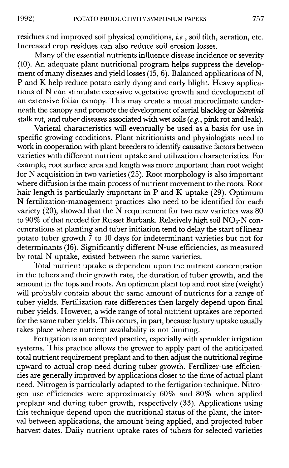residues and improved soil physical conditions, *i.e. ,* soil tilth, aeration, etc. Increased crop residues can also reduce soil erosion losses.

Many of the essential nutrients influence disease incidence or severity (10). An adequate plant nutritional program helps suppress the development of many diseases and yield losses (15, 6). Balanced applications of N, P and K help reduce potato early dying and early blight. Heavy applications of N can stimulate excessive vegetative growth and development of an extensive foliar canopy. This may create a moist microclimate underneath the canopy and promote the development of aerial blackleg or *Sderotinia* stalk rot, and tuber diseases associated with wet soils (e.g. *,* pink rot and leak).

Varietal characteristics will eventually be used as a basis for use in specific growing conditions. Plant nitritionists and physiologists need to work in cooperation with plant breeders to identify causative factors between varieties with different nutrient uptake and utilization characteristics. For example, root surface area and length was more important than root weight for N acquisition in two varieties  $(25)$ . Root morphology is also important where diffusion is the main process of nutrient movement to the roots. Root hair length is particularly important in P and K uptake (29). Optimum N fertilization-management practices also need to be identified for each variety (20), showed that the N requirement for two new varieties was 80 to  $90\%$  of that needed for Russet Burbank. Relatively high soil NO<sub>3</sub>-N concentrations at planting and tuber initiation tend to delay the start of linear potato tuber growth  $\frac{3}{7}$  to 10 days for indeterminant varieties but not for determinants (16). Significantly different N-use efficiencies, as measured by total N uptake, existed between the same varieties.

Total nutrient uptake is dependent upon the nutrient concentration in the tubers and their growth rate, the duration of tuber growth, and the amount in the tops and roots. An optimum plant top and root size (weight) will probably contain about the same amount of nutrients for a range of tuber yields. Fertilization rate differences then largely depend upon final tuber yields. However, a wide range of total nutrient uptakes are reported for the same tuber yields. This occurs, in part, because luxury uptake usually takes place where nutrient availability is not limiting.

Fertigation is an accepted practice, especially with sprinkler irrigation systems. This practice allows the grower to apply part of the anticipated total nutrient requirement preplant and to then adjust the nutritional regime upward to actual crop need during tuber growth. Fertilizer-use efficiencies are generally improved by applications closer to the time of actual plant need. Nitrogen is particularly adapted to the fertigation technique. Nitrogen use efficiencies were approximately 60% and 80% when applied preplant and during tuber growth, respectively (33). Applications using this technique depend upon the nutritional status of the plant, the interval between applications, the amount being applied, and projected tuber harvest dates. Daily nutrient uptake rates of tubers for selected varieties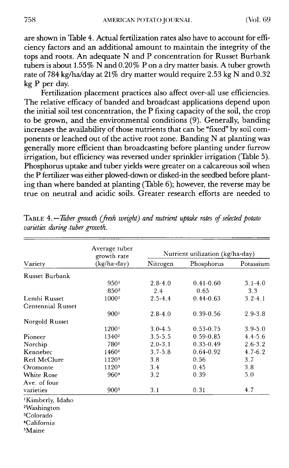are shown in Table 4. Actual fertilization rates also have to account for efficiency factors and an additional amount to maintain the integrity of the tops and roots. An adequate N and P concentration for Russet Burbank tubers is about 1.55% N and 0.20% P on a dry matter basis. A tuber growth rate of 784 kg/ha/day at 21% dry matter would require 2.53 kg N and 0.32 kg P per day.

Fertilization placement practices also affect over-all use efficiencies. The relative efficacy of banded and broadcast applications depend upon the initial soil test concentration, the P fixing capacity of the soil, the crop to be grown, and the environmental conditions (9). Generally, banding increases the availability of those nutrients that can be "fixed" by soil components or leached out of the active root zone. Banding N at planting was generally more efficient than broadcasting before planting under furrow irrigation, but efficiency was reversed under sprinkler irrigation (Table 5). Phosphorus uptake and tuber yields were greater on a calcareous soil when the P fertilizer was either plowed-down or disked-in the seedbed before planting than where banded at planting (Table 6); however, the reverse may be true on neutral and acidic soils. Greater research efforts are needed to

|                              | Average tuber<br>growth rate | Nutrient utilization (kg/ha-day) |               |             |  |
|------------------------------|------------------------------|----------------------------------|---------------|-------------|--|
| Variety                      | (kg/ha-day)                  | Nitrogen                         | Phosphorus    | Potassium   |  |
| <b>Russet Burbank</b>        |                              |                                  |               |             |  |
|                              | 9501                         | $2.8 - 4.0$                      | $0.41 - 0.60$ | $3.1 - 4.0$ |  |
|                              | 850 <sup>2</sup>             | 2.4                              | 0.65          | 3.3         |  |
| Lemhi Russet                 | 1000 <sup>1</sup>            | $2.5 - 4.4$                      | $0.44 - 0.63$ | $3.2 - 4.1$ |  |
| <b>Centennial Russet</b>     |                              |                                  |               |             |  |
|                              | 9001                         | $2.8 - 4.0$                      | $0.39 - 0.56$ | $2.9 - 3.8$ |  |
| Norgold Russet               |                              |                                  |               |             |  |
|                              | 12001                        | $3.0 - 4.5$                      | $0.53 - 0.75$ | $3.9 - 5.0$ |  |
| Pioneer                      | 13401                        | $3.5 - 5.5$                      | $0.59 - 0.85$ | $4.4 - 5.6$ |  |
| Norchip                      | 7801                         | $2.0 - 3.1$                      | $0.35 - 0.49$ | $2.6 - 3.2$ |  |
| Kennebec                     | 14601                        | $3.7 - 5.8$                      | 0.64-0.92     | $4.7 - 6.2$ |  |
| Red McClure                  | 11203                        | 3.8                              | 0.56          | 3.7         |  |
| Oromonte                     | 11203                        | 3.4                              | 0.45          | 3.8         |  |
| <b>White Rose</b>            | 960 <sup>4</sup>             | 3.2                              | 0.39          | 5.0         |  |
| Ave. of four                 |                              |                                  |               |             |  |
| varieties                    | 9005                         | 3.1                              | 0.31          | 4.7         |  |
| <sup>1</sup> Kimberly, Idaho |                              |                                  |               |             |  |
| <sup>2</sup> Washington      |                              |                                  |               |             |  |
| <sup>3</sup> Colorado        |                              |                                  |               |             |  |
| <sup>4</sup> California      |                              |                                  |               |             |  |
| <sup>5</sup> Maine           |                              |                                  |               |             |  |

TABLE *4.—Tuber growth (fresh weight) and nutrient uptake rates of selected potato varieties during tuber growth.*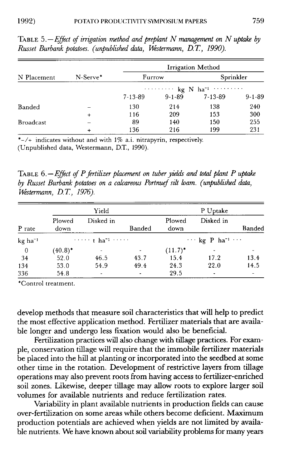|                  | N-Serve*  | <b>Irrigation Method</b> |              |                                                  |              |  |
|------------------|-----------|--------------------------|--------------|--------------------------------------------------|--------------|--|
| N Placement      |           | Furrow                   |              | Sprinkler                                        |              |  |
|                  |           |                          |              | $\cdots$ $\cdots$ kg N ha <sup>-1</sup> $\cdots$ |              |  |
|                  |           | $7 - 13 - 89$            | $9 - 1 - 89$ | $7 - 13 - 89$                                    | $9 - 1 - 89$ |  |
| Banded           |           | 130                      | 214          | 138                                              | 240          |  |
|                  | $\ddot{}$ | 116                      | 209          | 153                                              | 300          |  |
| <b>Broadcast</b> |           | 89                       | 140          | 150                                              | 255          |  |
|                  |           | 136                      | 216          | 199                                              | 231          |  |

TABLE *5.—Effect of irrigation method and preplant N management on N uptake by Russet Burbank potatoes. (unpublished data, Westermann, D.* T, *1990).*

 $*$ –/+ indicates without and with  $1\%$  a.i. nitrapyrin, respectively.

(Unpublished data, Westermann, D.T., 1990).

TABLE *6.—Effect of P fertilizer placement on tuber yields and total plant P uptake by Russet Burbank potatoes on a calcareous Portnuef silt loam. (unpublished data, Westermann, D.T. 1976).*

|                       |                | Yield                     |                |                | P Uptake                                |        |  |
|-----------------------|----------------|---------------------------|----------------|----------------|-----------------------------------------|--------|--|
| P rate                | Plowed<br>down | Disked in                 | <b>Banded</b>  | Plowed<br>down | Disked in                               | Banded |  |
| $kg$ ha <sup>-1</sup> |                | $\cdots$ in that $\cdots$ |                |                | $\cdots$ kg P ha <sup>-1</sup> $\cdots$ |        |  |
| $\overline{0}$        | $(40.8)^*$     |                           |                | $(11.7)^*$     |                                         |        |  |
| 34                    | 52.0           | 46.5                      | 43.7           | 15.4           | 17.2                                    | 13.4   |  |
| 134                   | 53.0           | 54.9                      | 49.4           | 24.3           | 22.0                                    | 14.5   |  |
| 336                   | 54.8           | ۰                         | $\blacksquare$ | 29.5           | $\tilde{\phantom{a}}$                   | ۰      |  |

\*Control treatment.

develop methods that measure soil characteristics that will help to predict the most effective application method. Fertilizer materials that are available longer and undergo less fixation would also be beneficial.

Fertilization practices will also change with tillage practices. For example, conservation tillage will require that the immobile fertilizer materials be placed into the hill at planting or incorporated into the seedbed at some other time in the rotation. Development of restrictive layers from tillage operations may also prevent roots from having access to fertilizer-enriched soil zones. Likewise, deeper tillage may allow roots to explore larger soil volumes for available nutrients and reduce fertilization rates.

Variability in plant available nutrients in production fields can cause over-fertilization on some areas while others become deficient. Maximum production potentials are achieved when yields are not limited by available nutrients. We have known about soil variability problems for many years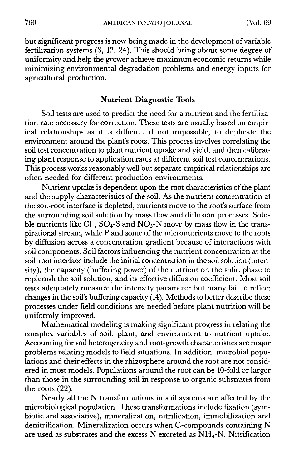but significant progress is now being made in the development of variable fertilization systems (3, 12, 24). This should bring about some degree of uniformity and help the grower achieve maximum economic returns while minimizing environmental degradation problems and energy inputs for agricultural production.

### **Nutrient Diagnostic Tools**

Soil tests are used to predict the need for a nutrient and the fertilization rate necessary for correction. These tests are usually based on empirical relationships as it is difficult, if not impossible, to duplicate the environment around the plant's roots. This process involves correlating the soil test concentration to plant nutrient uptake and yield, and then calibrating plant response to application rates at different soil test concentrations. This process works reasonably well but separate empirical relationships are often needed for different production environments.

Nutrient uptake is dependent upon the root characteristics of the plant and the supply characteristics of the soil. As the nutrient concentration at the soil-root interface is depleted, nutrients move to the root's surface from the surrounding soil solution by mass flow and diffusion processes. Soluble nutrients like Cl<sup>-</sup>, SO<sub>4</sub>-S and NO<sub>3</sub>-N move by mass flow in the transpirational stream, while P and some of the micronutrients move to the roots by diffusion across a concentration gradient because of interactions with soil components. Soil factors influencing the nutrient concentration at the soil-root interface include the initial concentration in the soil solution (intensity), the capacity (buffering power) of the nutrient on the solid phase to replenish the soil solution, and its effective diffusion coefficient. Most soil tests adequately measure the intensity parameter but many fail to reflect changes in the soil's buffering capacity (14). Methods to better describe these processes under field conditions are needed before plant nutrition will be uniformly improved.

Mathematical modeling is making significant progress in relating the complex variables of soil, plant, and environment to nutrient uptake. Accounting for soil heterogeneity and root-growth characteristics are major problems relating models to field situations. In addition, microbial populations and their effects in the rhizosphere around the root are not considered in most models. Populations around the root can be 10-fold or larger than those in the surrounding soil in response to organic substrates from the roots (22).

Nearly all the N transformations in soil systems are affected by the microbiological population. These transformations include fixation (symbiotic and associative), mineralization, nitrification, immobilization and denitrification. Mineralization occurs when C-compounds containing N are used as substrates and the excess N excreted as  $NH_4$ -N. Nitrification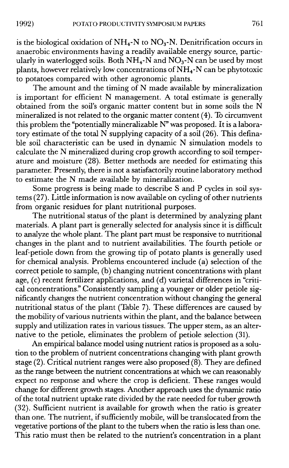is the biological oxidation of  $NH_4$ -N to  $NO_3$ -N. Denitrification occurs in anaerobic environments having a readily available energy source, particularly in waterlogged soils. Both  $NH_4$ -N and  $NO_3$ -N can be used by most plants, however relatively low concentrations of  $NH_4$ -N can be phytotoxic to potatoes compared with other agronomic plants.

The amount and the timing of N made available by mineralization is important for efficient N management. A total estimate is generally obtained from the soil's organic matter content but in some soils the N mineralized is not related to the organic matter content (4). To circumvent this problem the "potentially mineralizable N" was proposed. It is a laboratory estimate of the total N supplying capacity of a soil (26). This definable soil characteristic can be used in dynamic N simulation models to calculate the N mineralized during crop growth according to soil temperature and moisture (28). Better methods are needed for estimating this parameter. Presently, there is not a satisfactorily routine laboratory method to estimate the N made available by mineralization.

Some progress is being made to describe S and P cycles in soil systems (27). Little information is now available on cycling of other nutrients from organic residues for plant nutritional purposes.

The nutritional status of the plant is determined by analyzing plant materials. A plant part is generally selected for analysis since it is difficult to analyze the whole plant. The plant part must be responsive to nutritional changes in the plant and to nutrient availabilities. The fourth petiole or leaf-petiole down from the growing tip of potato plants is generally used for chemical analysis. Problems encountered include (a) selection of the correct petiole to sample, (b) changing nutrient concentrations with plant age, (c) recent fertilizer applications, and (d) varietal differences in "critical concentrations." Consistently sampling a younger or older petiole significantly changes the nutrient concentration without changing the general nutritional status of the plant (Table 7). These differences are caused by the mobility of various nutrients within the plant, and the balance between supply and utilization rates in various tissues. The upper stem, as an alternative to the petiole, eliminates the problem of petiole selection (31).

An empirical balance model using nutrient ratios is proposed as a solution to the problem of nutrient concentrations changing with plant growth stage (2). Critical nutrient ranges were also proposed (8). They are defined as the range between the nutrient concentrations at which we can reasonably expect no response and where the crop is deficient. These ranges would change for different growth stages. Another approach uses the dynamic ratio of the total nutrient uptake rate divided by the rate needed for tuber growth (32). Sufficient nutrient is available for growth when the ratio is greater than one. The nutrient, if sufficiently mobile, will be translocated from the vegetative portions of the plant to the tubers when the ratio is less than one. This ratio must then be related to the nutrient's concentration in a plant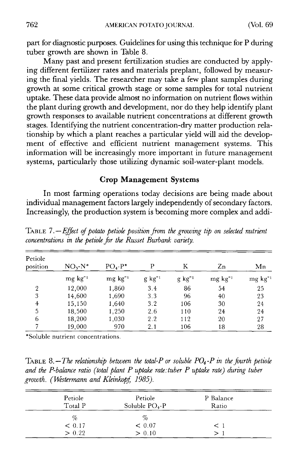part for diagnostic purposes. Guidelines for using this technique for P during tuber growth are shown in Table 8.

Many past and present fertilization studies are conducted by applying different fertilizer rates and materials preplant, followed by measuring the final yields. The researcher may take a few plant samples during growth at some critical growth stage or some samples for total nutrient uptake. These data provide almost no information on nutrient flows within the plant during growth and development, nor do they help identify plant growth responses to available nutrient concentrations at different growth stages. Identifying the nutrient concentration-dry matter production relationship by which a plant reaches a particular yield will aid the development of effective and efficient nutrient management systems. This information will be increasingly more important in future management systems, particularly those utilizing dynamic soil-water-plant models.

# **Crop Management Systems**

In most farming operations today decisions are being made about individual management factors largely independently of secondary factors. Increasingly, the production system is becoming more complex and addi-

| Petiole<br>position | $NO3$ - $N^*$   | $PO4-P*$        | Ρ                   | Κ                   | Zn              | Mn              |
|---------------------|-----------------|-----------------|---------------------|---------------------|-----------------|-----------------|
|                     | $mg \, kg^{-1}$ | $mg \, kg^{-1}$ | $g \text{ kg}^{-1}$ | $g \text{ kg}^{-1}$ | $mg \, kg^{-1}$ | $mg \, kg^{-1}$ |
| $\overline{2}$      | 12,000          | 1,860           | 3.4                 | 86                  | 54              | 25              |
| 3                   | 14,600          | 1,690           | 3.3                 | 96                  | 40              | 23              |
| 4                   | 15,150          | 1,640           | 3.2                 | 106                 | 30              | 24              |
| 5                   | 18,500          | 1,250           | 2.6                 | 110                 | 24              | 24              |
| 6                   | 18,200          | 1,030           | 2.2                 | 112                 | 20              | 27              |
|                     | 19,000          | 970             | 2.1                 | 106                 | 18              | 28              |

TABLE *7.—Effect of potato petiole position from the growing tip on selected nutrient concentrations in the petiole for the Russet Burbank variety.*

\*Soluble nutrient concentrations.

TABLE 8.—The relationship between the total-P or soluble  $PO_4$ -P in the fourth petiole *and the P-balance ratio (total plant P uptake rate: tuber P uptake rate) during tuber growth. (Westermann and Kleinkopf 1985).*

| Petiole<br>Total P | Petiole<br>Soluble $PO_4$ -P | P Balance<br>Ratio |  |
|--------------------|------------------------------|--------------------|--|
| %                  | %                            |                    |  |
| < 0.17             | < 0.07                       | $\leq$ 1           |  |
| > 0.22             | > 0.10                       |                    |  |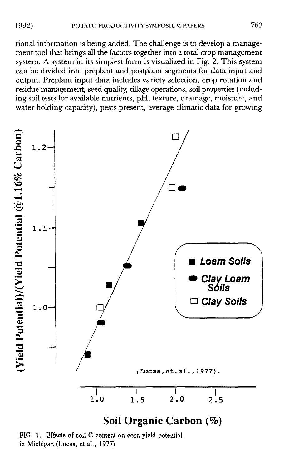tional information is being added. The challenge is to develop a management tool that brings all the factors together into a total crop management system. A system in its simplest form is visualized in Fig. 2. This system can be divided into preplant and postplant segments for data input and output. Preplant input data includes variety selection, crop rotation and residue management, seed quality, tillage operations, soil properties (including soil tests for available nutrients, pH, texture, drainage, moisture, and water holding capacity), pests present, average climatic data for growing



FIG. 1. Effects of soil C content on corn yield potential in Michigan (Lucas, et al., 1977).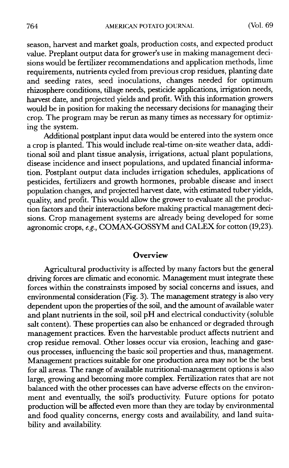season, harvest and market goals, production costs, and expected product value. Preplant output data for grower's use in making management decisions would be fertilizer recommendations and application methods, lime requirements, nutrients cycled from previous crop residues, planting date and seeding rates, seed inoculations, changes needed for optimum rhizosphere conditions, tillage needs, pesticide applications, irrigation needs, harvest date, and projected yields and profit. With this information growers would be in position for making the necessary decisions for managing their crop. The program may be rerun as many times as necessary for optimizing the system.

Additional postplant input data would be entered into the system once a crop is planted. This would include real-time on-site weather data, additional soil and plant tissue analysis, irrigations, actual plant populations, disease incidence and insect populations, and updated financial information. Postplant output data includes irrigation schedules, applications of pesticides, fertilizers and growth hormones, probable disease and insect population changes, and projected harvest date, with estimated tuber yields, quality, and profit. This would allow the grower to evaluate all the production factors and their interactions before making practical management decisions. Crop management systems are already being developed for some agronomic crops, e.g., COMAX-GOSSYM and CALEX for cotton (19,23).

#### **Overview**

Agricultural productivity is affected by many factors but the general driving forces are climatic and economic. Management must integrate these forces within the constrainsts imposed by social concerns and issues, and environmental consideration (Fig. 3). The management strategy is also very dependent upon the properties of the soil, and the amount of available water and plant nutrients in the soil, soil pH and electrical conductivity (soluble salt content). These properties can also be enhanced or degraded through management practices. Even the harvestable product affects nutrient and crop residue removal. Other losses occur via erosion, leaching and gaseous processes, influencing the basic soil properties and thus, management. Management practices suitable for one production area may not be the best for all areas. The range of available nutritional-management options is also large, growing and becoming more complex. Fertilization rates that are not balanced with the other processes can have adverse effects on the environment and eventually, the soil's productivity. Future options for potato production will be affected even more than they are today by environmental and food quality concerns, energy costs and availability, and land suitability and availability.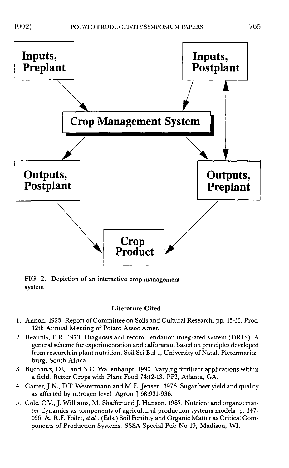

FIG. 2. Depiction of an interactive crop management system.

#### Literature Cited

- 1. Annon. 1925. Report of Committee on Soils and Cultural Research. pp. 15-16. Proc. 12th Annual Meeting of Potato Assoc Amer.
- 2. Beaufils, E.R. 1973. Diagnosis and recommendation integrated system (DRIS). A general scheme for experimentation and calibration based on principles developed from research in plant nutrition. Soil Sci Bul 1, University of Natal, Pietermaritzburg, South Africa.
- 3. Buchholz, D.U. and N.C. Wallenhaupt. 1990. Varying fertilizer applications within a field. Better Crops with Plant Food 74:12-13. PPI, Atlanta, GA.
- 4. Carter, J.N., D.T. Westermann and M.E. Jensen. 1976. Sugar beet yield and quality as affected by nitrogen level. Agron J 68:931-936.
- 5. Cole, C.V., J. Williams, M. Shaffer and J. Hanson. 1987. Nutrient and organic matter dynamics as components of agricultural production systems models. p. 147- 166. *In:* R.F. Follet, *et al.,* (Eds.) Soil Fertility and Organic Matter as Critical Components of Production Systems. SSSA Special Pub No 19, Madison, WI.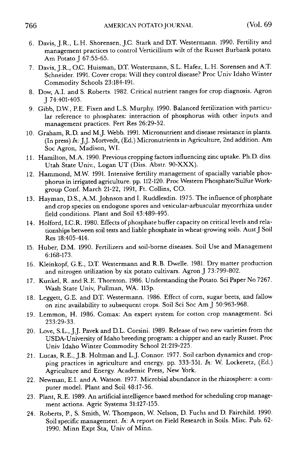- 6. Davis, J.R., L.H. Shorensen, J.C. Stark and D.T. Westermann. 1990. Fertility and management practices to control Verticillium wilt of the Russet Burbank potato. Am Potato J 67:55-65.
- 7. Davis, J.R., O.C. Huisman, D.T. Westermann, S.L. Hafez, L.H. Sorensen and A.T. Schneider. 1991. Cover crops: Will they control disease? Proc Univ Idaho Winter Commodity Schools 23:184-191.
- 8. Dow, A.I. and S. Roberts. 1982. Critical nutrient ranges for crop diagnosis. Agron J 74:401-403.
- 9. Gibb, D.W., P.E. Fixen and L.S. Murphy. 1990. Balanced fertilization with particular reference to phosphates: interaction of phosphorus with other inputs and management practices. Fert Res 26:29-52.
- 10. Graham, R.D. and M. J. Webb. 1991. Micronutrient and disease resistance in plants. (In press) *In:* J.J. Mortvedt, (Ed.) Micronutrients in Agriculture, 2nd addition. Am Soc Agron, Madison, WI.
- 11. Hamilton, M.A. 1990. Previous cropping factors influencing zinc uptake. Ph.D. diss. Utah State Univ., Logan UT (Diss. Abstr. 90-XXX).
- 12. Hammond, M.W. 1991. Intensive fertility management of spacially variable phosphorus in irrigated agriculture. pp. 112-120. Proc Western Phosphate/Sulfur Workgroup Conf. March 21-22, 1991, Ft. Collins, CO.
- 13. Hayman, D.S., A.M. Johnson and I. Ruddlesdin. 1975. The influence of phosphate and crop species on endogone spores and vesicular-arbuscular mycorrhiza under field conditions. Plant and Soil 43:489-495.
- 14. Holford, I.C.R. 1980. Effects of phosphate buffer capacity on critical levels and relationships between soil tests and liable phosphate in wheat-growing soils. Aust *J* Soil Res 18:405-414.
- 15. Huber, D.M. 1990. Fertilizers and soil-borne diseases. Soil Use and Management 6:168-173.
- 16. Kleinkopf, G.E., D.T. Westermann and R.B. Dwelle. 1981. Dry matter production and nitrogen utilization by six potato cultivars. Agron J 73:799-802.
- 17. Kunkel, R. and R.E. Thornton. 1986. Understanding the Potato. Sci Paper No 7267. Wash State Univ, Pullman, WA. 113p.
- 18. Leggett, G.E. and D.T. Westermann. 1986. Effect of corn, sugar beets, and fallow on zinc availability to subsequent crops. Soil Sci Soc Am J 50:963-968.
- 19. Lemmon, H. 1986. Comax: An expert system for cotton crop management. Sci 233:29-33.
- 20. Love, S.L., J.J. Pavek and D.L. Corsini. 1989. Release of two new varieties from the USDA-University of Idaho breeding program: a chipper and an early Russet. Proc Univ Idaho Winter Commodity School 21:219-225.
- 21. Lucas, R.E., J.B. Holtman and L.J. Connor. 1977. Soil carbon dynamics and cropping practices in agriculture and energy. pp. 333-351. *In:* W. Lockeretz, (Ed.) Agriculture and Energy. Academic Press, New York.
- 22. Newman, E.I. and A. Watson. 1977. Microbial abundance in the rhizosphere: a computer model. Plant and Soil 48:17-56.
- 23. Plant, R.E. 1989. An artificial intelligence based method for scheduling crop management actions. Agric Systems 31:127-155.
- 24. Roberts, P., S. Smith, W. Thompson, W. Nelson, D. Fuchs and D. Fairchild. 1990. Soil specific management. *In:* A report on Field Research in Soils. Misc. Pub. 62- 1990. Minn Expt Sta, Univ of Minn.